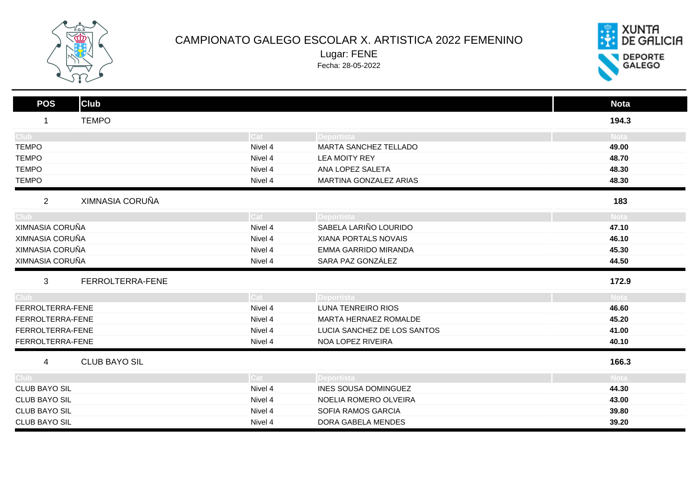

## CAMPIONATO GALEGO ESCOLAR X. ARTISTICA 2022 FEMENINO Lugar: FENE

Fecha: 28-05-2022



| <b>Club</b><br><b>POS</b>         |         |                             | <b>Nota</b> |
|-----------------------------------|---------|-----------------------------|-------------|
| <b>TEMPO</b><br>$\mathbf 1$       |         |                             | 194.3       |
| Club -                            | Cat     | Deportista                  | <b>Nota</b> |
| <b>TEMPO</b>                      | Nivel 4 | MARTA SANCHEZ TELLADO       | 49.00       |
| <b>TEMPO</b>                      | Nivel 4 | <b>LEA MOITY REY</b>        | 48.70       |
| <b>TEMPO</b>                      | Nivel 4 | ANA LOPEZ SALETA            | 48.30       |
| <b>TEMPO</b>                      | Nivel 4 | MARTINA GONZALEZ ARIAS      | 48.30       |
| XIMNASIA CORUÑA<br>$\overline{2}$ |         |                             | 183         |
| Club.                             | Cat :   | Deportista                  | <b>Nota</b> |
| XIMNASIA CORUÑA                   | Nivel 4 | SABELA LARIÑO LOURIDO       | 47.10       |
| XIMNASIA CORUÑA                   | Nivel 4 | XIANA PORTALS NOVAIS        | 46.10       |
| XIMNASIA CORUÑA                   | Nivel 4 | EMMA GARRIDO MIRANDA        | 45.30       |
| XIMNASIA CORUÑA                   | Nivel 4 | SARA PAZ GONZÁLEZ           | 44.50       |
| 3<br>FERROLTERRA-FENE             |         |                             | 172.9       |
| Club <sup>-</sup>                 | Cat :   | Deportista                  | <b>Nota</b> |
| FERROLTERRA-FENE                  | Nivel 4 | LUNA TENREIRO RIOS          | 46.60       |
| FERROLTERRA-FENE                  | Nivel 4 | MARTA HERNAEZ ROMALDE       | 45.20       |
| FERROLTERRA-FENE                  | Nivel 4 | LUCIA SANCHEZ DE LOS SANTOS | 41.00       |
| FERROLTERRA-FENE                  | Nivel 4 | NOA LOPEZ RIVEIRA           | 40.10       |
| <b>CLUB BAYO SIL</b><br>4         |         |                             | 166.3       |
| Club <sup>-</sup>                 | Cat     | Deportista                  | <b>Nota</b> |
| <b>CLUB BAYO SIL</b>              | Nivel 4 | INES SOUSA DOMINGUEZ        | 44.30       |
| <b>CLUB BAYO SIL</b>              | Nivel 4 | NOELIA ROMERO OLVEIRA       | 43.00       |
| <b>CLUB BAYO SIL</b>              | Nivel 4 | SOFIA RAMOS GARCIA          | 39.80       |
| <b>CLUB BAYO SIL</b>              | Nivel 4 | DORA GABELA MENDES          | 39.20       |